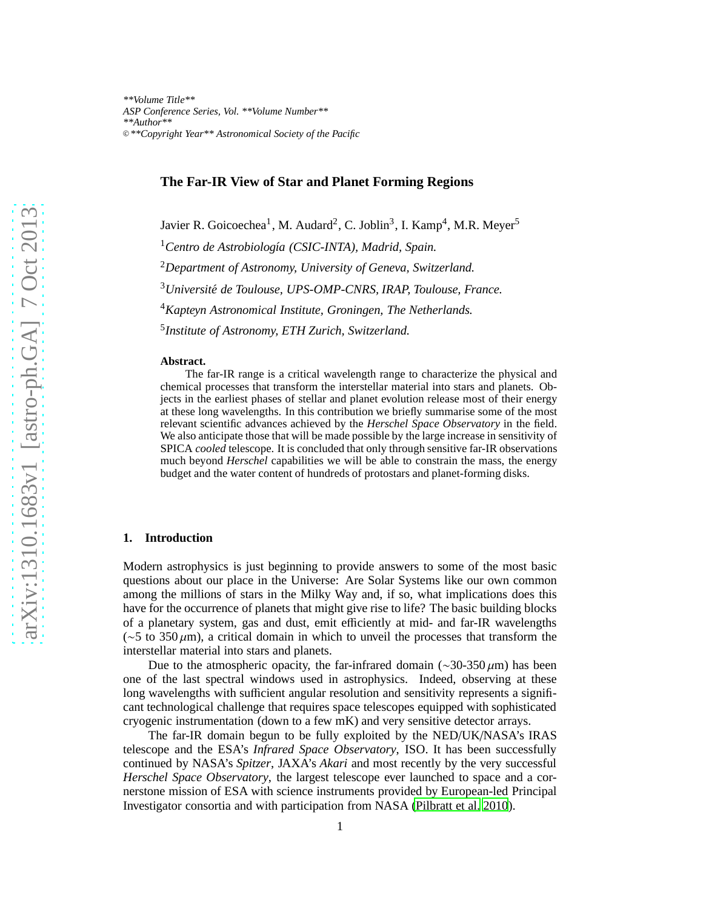# **The Far-IR View of Star and Planet Forming Regions**

Javier R. Goicoechea<sup>1</sup>, M. Audard<sup>2</sup>, C. Joblin<sup>3</sup>, I. Kamp<sup>4</sup>, M.R. Meyer<sup>5</sup>

<sup>1</sup> Centro de Astrobiología (CSIC-INTA), Madrid, Spain.

<sup>2</sup>*Department of Astronomy, University of Geneva, Switzerland.*

<sup>3</sup>*Universit´e de Toulouse, UPS-OMP-CNRS, IRAP, Toulouse, France.*

<sup>4</sup>*Kapteyn Astronomical Institute, Groningen, The Netherlands.*

5 *Institute of Astronomy, ETH Zurich, Switzerland.*

#### **Abstract.**

The far-IR range is a critical wavelength range to characterize the physical and chemical processes that transform the interstellar material into stars and planets. Objects in the earliest phases of stellar and planet evolution release most of their energy at these long wavelengths. In this contribution we briefly summarise some of the most relevant scientific advances achieved by the *Herschel Space Observatory* in the field. We also anticipate those that will be made possible by the large increase in sensitivity of SPICA *cooled* telescope. It is concluded that only through sensitive far-IR observations much beyond *Herschel* capabilities we will be able to constrain the mass, the energy budget and the water content of hundreds of protostars and planet-forming disks.

# **1. Introduction**

Modern astrophysics is just beginning to provide answers to some of the most basic questions about our place in the Universe: Are Solar Systems like our own common among the millions of stars in the Milky Way and, if so, what implications does this have for the occurrence of planets that might give rise to life? The basic building blocks of a planetary system, gas and dust, emit efficiently at mid- and far-IR wavelengths (∼5 to 350 µm), a critical domain in which to unveil the processes that transform the interstellar material into stars and planets.

Due to the atmospheric opacity, the far-infrared domain ( $\sim$ 30-350 µm) has been one of the last spectral windows used in astrophysics. Indeed, observing at these long wavelengths with sufficient angular resolution and sensitivity represents a significant technological challenge that requires space telescopes equipped with sophisticated cryogenic instrumentation (down to a few mK) and very sensitive detector arrays.

The far-IR domain begun to be fully exploited by the NED/UK/NASA's IRAS telescope and the ESA's *Infrared Space Observatory*, ISO. It has been successfully continued by NASA's *Spitzer*, JAXA's *Akari* and most recently by the very successful *Herschel Space Observatory*, the largest telescope ever launched to space and a cornerstone mission of ESA with science instruments provided by European-led Principal Investigator consortia and with participation from NASA [\(Pilbratt et al. 2010\)](#page-7-0).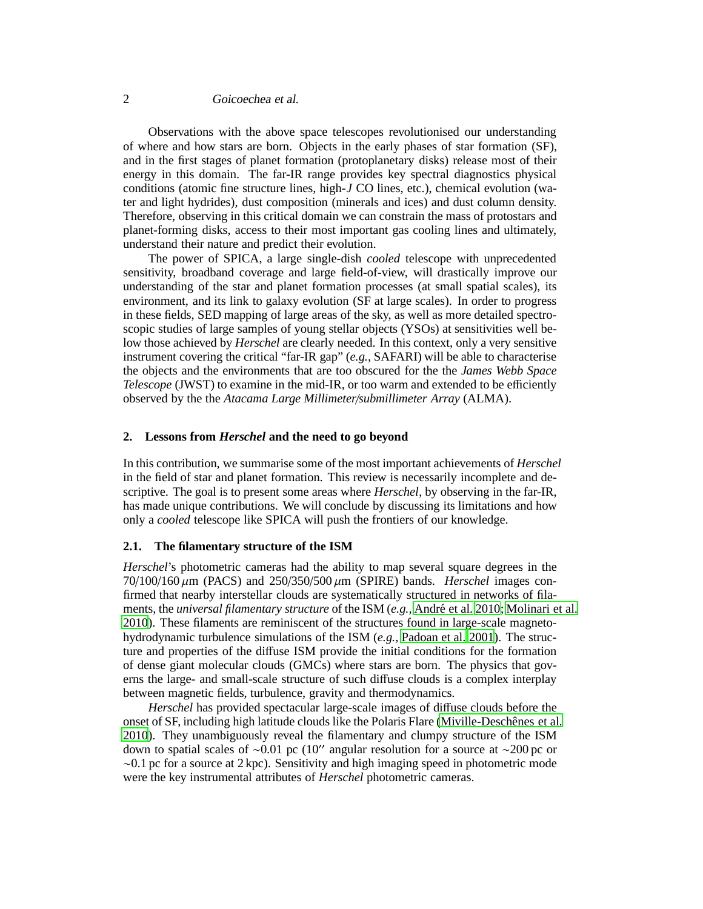# 2 Goicoechea et al.

Observations with the above space telescopes revolutionised our understanding of where and how stars are born. Objects in the early phases of star formation (SF), and in the first stages of planet formation (protoplanetary disks) release most of their energy in this domain. The far-IR range provides key spectral diagnostics physical conditions (atomic fine structure lines, high-*J* CO lines, etc.), chemical evolution (water and light hydrides), dust composition (minerals and ices) and dust column density. Therefore, observing in this critical domain we can constrain the mass of protostars and planet-forming disks, access to their most important gas cooling lines and ultimately, understand their nature and predict their evolution.

The power of SPICA, a large single-dish *cooled* telescope with unprecedented sensitivity, broadband coverage and large field-of-view, will drastically improve our understanding of the star and planet formation processes (at small spatial scales), its environment, and its link to galaxy evolution (SF at large scales). In order to progress in these fields, SED mapping of large areas of the sky, as well as more detailed spectroscopic studies of large samples of young stellar objects (YSOs) at sensitivities well below those achieved by *Herschel* are clearly needed. In this context, only a very sensitive instrument covering the critical "far-IR gap" (*e.g.,* SAFARI) will be able to characterise the objects and the environments that are too obscured for the the *James Webb Space Telescope* (JWST) to examine in the mid-IR, or too warm and extended to be efficiently observed by the the *Atacama Large Millimeter*/*submillimeter Array* (ALMA).

# **2. Lessons from** *Herschel* **and the need to go beyond**

In this contribution, we summarise some of the most important achievements of *Herschel* in the field of star and planet formation. This review is necessarily incomplete and descriptive. The goal is to present some areas where *Herschel*, by observing in the far-IR, has made unique contributions. We will conclude by discussing its limitations and how only a *cooled* telescope like SPICA will push the frontiers of our knowledge.

### **2.1. The filamentary structure of the ISM**

*Herschel*'s photometric cameras had the ability to map several square degrees in the  $70/100/160 \mu m$  (PACS) and  $250/350/500 \mu m$  (SPIRE) bands. *Herschel* images confirmed that nearby interstellar clouds are systematically structured in networks of filaments, the *universal filamentary structure* of the ISM (e.g., André et al. 2010; [Molinari et al.](#page-7-2) [2010](#page-7-2)). These filaments are reminiscent of the structures found in large-scale magnetohydrodynamic turbulence simulations of the ISM (*e.g.,* [Padoan et al. 2001](#page-7-3)). The structure and properties of the diffuse ISM provide the initial conditions for the formation of dense giant molecular clouds (GMCs) where stars are born. The physics that governs the large- and small-scale structure of such diffuse clouds is a complex interplay between magnetic fields, turbulence, gravity and thermodynamics.

*Herschel* has provided spectacular large-scale images of diffuse clouds before the onset of SF, including high latitude clouds like the Polaris Flare (Miville-Deschênes et al. [2010](#page-7-4)). They unambiguously reveal the filamentary and clumpy structure of the ISM down to spatial scales of ∼0.01 pc (10′′ angular resolution for a source at ∼200 pc or  $\sim 0.1$  pc for a source at 2 kpc). Sensitivity and high imaging speed in photometric mode were the key instrumental attributes of *Herschel* photometric cameras.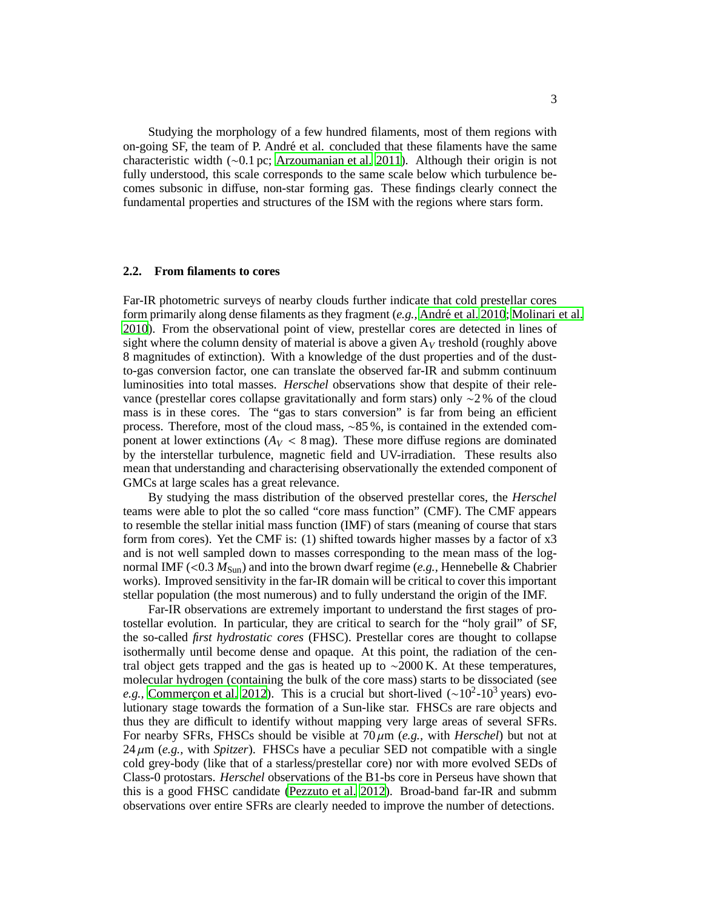Studying the morphology of a few hundred filaments, most of them regions with on-going SF, the team of P. André et al. concluded that these filaments have the same characteristic width (∼0.1 pc; [Arzoumanian et al. 2011](#page-7-5)). Although their origin is not fully understood, this scale corresponds to the same scale below which turbulence becomes subsonic in diffuse, non-star forming gas. These findings clearly connect the fundamental properties and structures of the ISM with the regions where stars form.

### **2.2. From filaments to cores**

Far-IR photometric surveys of nearby clouds further indicate that cold prestellar cores form primarily along dense filaments as they fragment (*e.g.*, André et al. 2010; [Molinari et al.](#page-7-2) [2010](#page-7-2)). From the observational point of view, prestellar cores are detected in lines of sight where the column density of material is above a given  $A_V$  treshold (roughly above 8 magnitudes of extinction). With a knowledge of the dust properties and of the dustto-gas conversion factor, one can translate the observed far-IR and submm continuum luminosities into total masses. *Herschel* observations show that despite of their relevance (prestellar cores collapse gravitationally and form stars) only ∼2 % of the cloud mass is in these cores. The "gas to stars conversion" is far from being an efficient process. Therefore, most of the cloud mass, ∼85 %, is contained in the extended component at lower extinctions  $(A_V < 8 \text{ mag})$ . These more diffuse regions are dominated by the interstellar turbulence, magnetic field and UV-irradiation. These results also mean that understanding and characterising observationally the extended component of GMCs at large scales has a great relevance.

By studying the mass distribution of the observed prestellar cores, the *Herschel* teams were able to plot the so called "core mass function" (CMF). The CMF appears to resemble the stellar initial mass function (IMF) of stars (meaning of course that stars form from cores). Yet the CMF is: (1) shifted towards higher masses by a factor of  $x3$ and is not well sampled down to masses corresponding to the mean mass of the lognormal IMF ( $<$ 0.3  $M_{\text{Sun}}$ ) and into the brown dwarf regime (*e.g.*, Hennebelle & Chabrier works). Improved sensitivity in the far-IR domain will be critical to cover this important stellar population (the most numerous) and to fully understand the origin of the IMF.

Far-IR observations are extremely important to understand the first stages of protostellar evolution. In particular, they are critical to search for the "holy grail" of SF, the so-called *first hydrostatic cores* (FHSC). Prestellar cores are thought to collapse isothermally until become dense and opaque. At this point, the radiation of the central object gets trapped and the gas is heated up to  $\sim$ 2000 K. At these temperatures, molecular hydrogen (containing the bulk of the core mass) starts to be dissociated (see *e.g.*, Commerçon et al. 2012). This is a crucial but short-lived (~10<sup>2</sup>-10<sup>3</sup> years) evolutionary stage towards the formation of a Sun-like star. FHSCs are rare objects and thus they are difficult to identify without mapping very large areas of several SFRs. For nearby SFRs, FHSCs should be visible at  $70 \mu m$  (*e.g.*, with *Herschel*) but not at  $24 \mu m$  (*e.g.,* with *Spitzer*). FHSCs have a peculiar SED not compatible with a single cold grey-body (like that of a starless/prestellar core) nor with more evolved SEDs of Class-0 protostars. *Herschel* observations of the B1-bs core in Perseus have shown that this is a good FHSC candidate [\(Pezzuto et al. 2012\)](#page-7-7). Broad-band far-IR and submm observations over entire SFRs are clearly needed to improve the number of detections.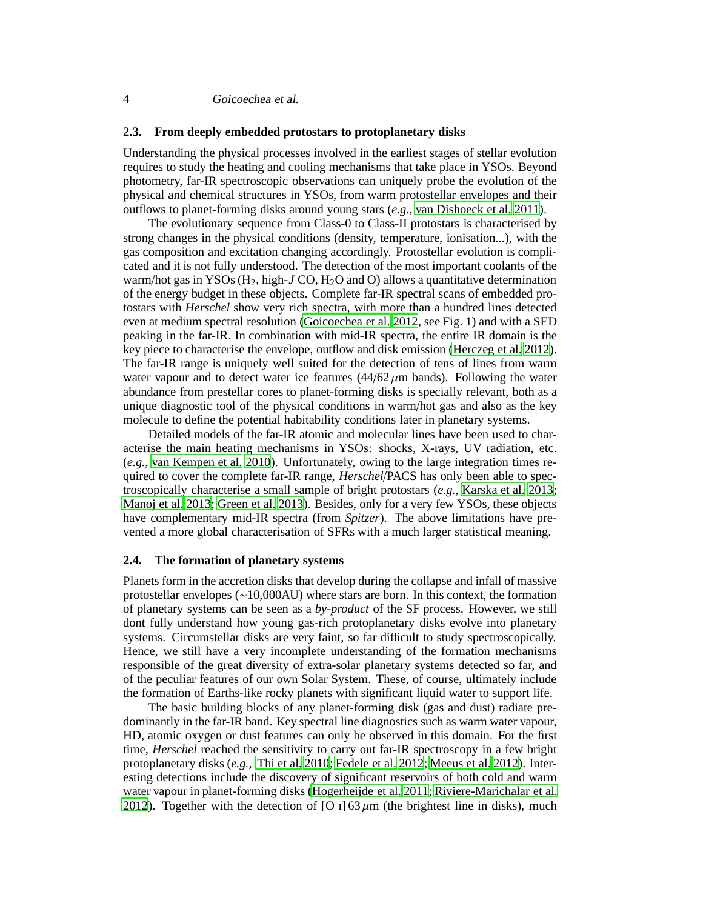# **2.3. From deeply embedded protostars to protoplanetary disks**

Understanding the physical processes involved in the earliest stages of stellar evolution requires to study the heating and cooling mechanisms that take place in YSOs. Beyond photometry, far-IR spectroscopic observations can uniquely probe the evolution of the physical and chemical structures in YSOs, from warm protostellar envelopes and their outflows to planet-forming disks around young stars (*e.g.,* [van Dishoeck et al. 2011](#page-7-8)).

The evolutionary sequence from Class-0 to Class-II protostars is characterised by strong changes in the physical conditions (density, temperature, ionisation...), with the gas composition and excitation changing accordingly. Protostellar evolution is complicated and it is not fully understood. The detection of the most important coolants of the warm/hot gas in YSOs ( $H_2$ , high-*J* CO,  $H_2O$  and O) allows a quantitative determination of the energy budget in these objects. Complete far-IR spectral scans of embedded protostars with *Herschel* show very rich spectra, with more than a hundred lines detected even at medium spectral resolution [\(Goicoechea et al. 2012](#page-7-9), see Fig. 1) and with a SED peaking in the far-IR. In combination with mid-IR spectra, the entire IR domain is the key piece to characterise the envelope, outflow and disk emission [\(Herczeg et al. 2012\)](#page-7-10). The far-IR range is uniquely well suited for the detection of tens of lines from warm water vapour and to detect water ice features  $(44/62 \mu m)$  bands). Following the water abundance from prestellar cores to planet-forming disks is specially relevant, both as a unique diagnostic tool of the physical conditions in warm/hot gas and also as the key molecule to define the potential habitability conditions later in planetary systems.

Detailed models of the far-IR atomic and molecular lines have been used to characterise the main heating mechanisms in YSOs: shocks, X-rays, UV radiation, etc. (*e.g.,* [van Kempen et al. 2010\)](#page-7-11). Unfortunately, owing to the large integration times required to cover the complete far-IR range, *Herschel*/PACS has only been able to spectroscopically characterise a small sample of bright protostars (*e.g.,* [Karska et al. 2013](#page-7-12); [Manoj et al. 2013;](#page-7-13) [Green et al. 2013](#page-7-14)). Besides, only for a very few YSOs, these objects have complementary mid-IR spectra (from *Spitzer*). The above limitations have prevented a more global characterisation of SFRs with a much larger statistical meaning.

# **2.4. The formation of planetary systems**

Planets form in the accretion disks that develop during the collapse and infall of massive protostellar envelopes (∼10,000AU) where stars are born. In this context, the formation of planetary systems can be seen as a *by-product* of the SF process. However, we still dont fully understand how young gas-rich protoplanetary disks evolve into planetary systems. Circumstellar disks are very faint, so far difficult to study spectroscopically. Hence, we still have a very incomplete understanding of the formation mechanisms responsible of the great diversity of extra-solar planetary systems detected so far, and of the peculiar features of our own Solar System. These, of course, ultimately include the formation of Earths-like rocky planets with significant liquid water to support life.

The basic building blocks of any planet-forming disk (gas and dust) radiate predominantly in the far-IR band. Key spectral line diagnostics such as warm water vapour, HD, atomic oxygen or dust features can only be observed in this domain. For the first time, *Herschel* reached the sensitivity to carry out far-IR spectroscopy in a few bright protoplanetary disks (*e.g.,* [Thi et al. 2010](#page-7-15); [Fedele et al. 2012](#page-7-16); [Meeus et al. 2012](#page-7-17)). Interesting detections include the discovery of significant reservoirs of both cold and warm water vapour in planet-forming disks [\(Hogerheijde et al. 2011](#page-7-18); [Riviere-Marichalar et al.](#page-7-19) [2012](#page-7-19)). Together with the detection of [O i] 63  $\mu$ m (the brightest line in disks), much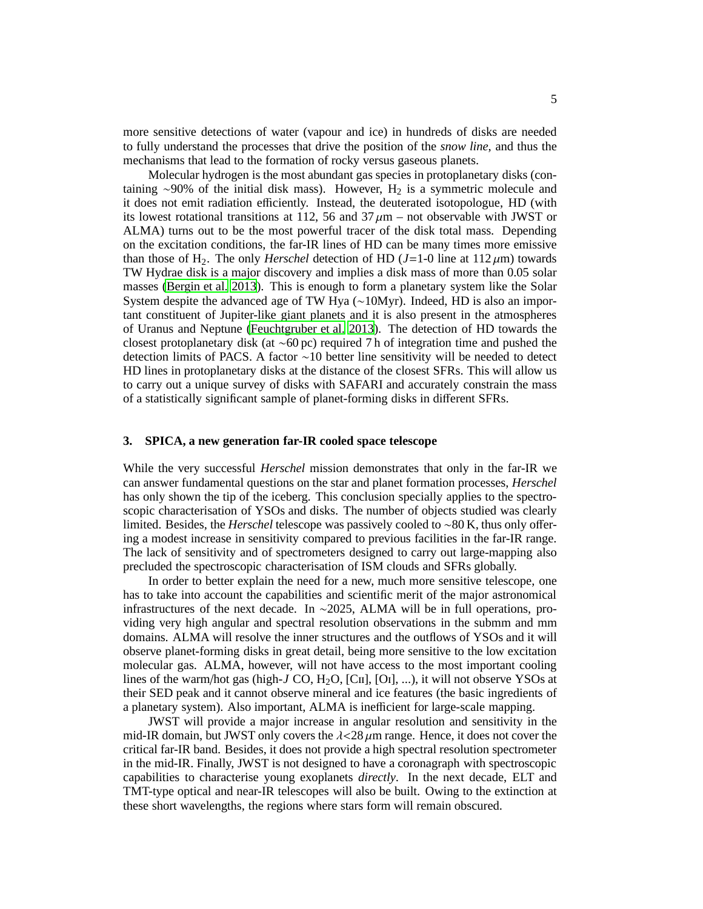more sensitive detections of water (vapour and ice) in hundreds of disks are needed to fully understand the processes that drive the position of the *snow line*, and thus the mechanisms that lead to the formation of rocky versus gaseous planets.

Molecular hydrogen is the most abundant gas species in protoplanetary disks (containing ∼90% of the initial disk mass). However, H<sub>2</sub> is a symmetric molecule and it does not emit radiation efficiently. Instead, the deuterated isotopologue, HD (with its lowest rotational transitions at 112, 56 and  $37 \mu m$  – not observable with JWST or ALMA) turns out to be the most powerful tracer of the disk total mass. Depending on the excitation conditions, the far-IR lines of HD can be many times more emissive than those of H<sub>2</sub>. The only *Herschel* detection of HD ( $J=1-0$  line at  $112 \mu m$ ) towards TW Hydrae disk is a major discovery and implies a disk mass of more than 0.05 solar masses [\(Bergin et al. 2013](#page-7-20)). This is enough to form a planetary system like the Solar System despite the advanced age of TW Hya (∼10Myr). Indeed, HD is also an important constituent of Jupiter-like giant planets and it is also present in the atmospheres of Uranus and Neptune [\(Feuchtgruber et al. 2013\)](#page-7-21). The detection of HD towards the closest protoplanetary disk (at ∼60 pc) required 7 h of integration time and pushed the detection limits of PACS. A factor ∼10 better line sensitivity will be needed to detect HD lines in protoplanetary disks at the distance of the closest SFRs. This will allow us to carry out a unique survey of disks with SAFARI and accurately constrain the mass of a statistically significant sample of planet-forming disks in different SFRs.

# **3. SPICA, a new generation far-IR cooled space telescope**

While the very successful *Herschel* mission demonstrates that only in the far-IR we can answer fundamental questions on the star and planet formation processes, *Herschel* has only shown the tip of the iceberg. This conclusion specially applies to the spectroscopic characterisation of YSOs and disks. The number of objects studied was clearly limited. Besides, the *Herschel* telescope was passively cooled to ∼80 K, thus only offering a modest increase in sensitivity compared to previous facilities in the far-IR range. The lack of sensitivity and of spectrometers designed to carry out large-mapping also precluded the spectroscopic characterisation of ISM clouds and SFRs globally.

In order to better explain the need for a new, much more sensitive telescope, one has to take into account the capabilities and scientific merit of the major astronomical infrastructures of the next decade. In ∼2025, ALMA will be in full operations, providing very high angular and spectral resolution observations in the submm and mm domains. ALMA will resolve the inner structures and the outflows of YSOs and it will observe planet-forming disks in great detail, being more sensitive to the low excitation molecular gas. ALMA, however, will not have access to the most important cooling lines of the warm/hot gas (high-*J* CO, H<sub>2</sub>O, [CII], [OI], ...), it will not observe YSOs at their SED peak and it cannot observe mineral and ice features (the basic ingredients of a planetary system). Also important, ALMA is inefficient for large-scale mapping.

JWST will provide a major increase in angular resolution and sensitivity in the mid-IR domain, but JWST only covers the  $\lambda$  <28  $\mu$ m range. Hence, it does not cover the critical far-IR band. Besides, it does not provide a high spectral resolution spectrometer in the mid-IR. Finally, JWST is not designed to have a coronagraph with spectroscopic capabilities to characterise young exoplanets *directly*. In the next decade, ELT and TMT-type optical and near-IR telescopes will also be built. Owing to the extinction at these short wavelengths, the regions where stars form will remain obscured.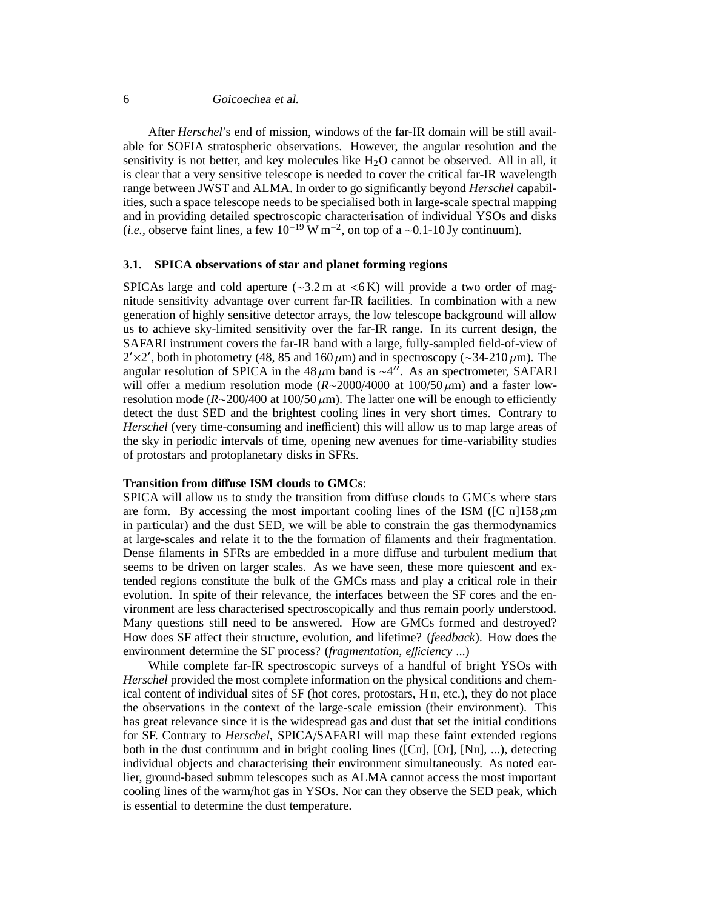# 6 Goicoechea et al.

After *Herschel*'s end of mission, windows of the far-IR domain will be still available for SOFIA stratospheric observations. However, the angular resolution and the sensitivity is not better, and key molecules like  $H_2O$  cannot be observed. All in all, it is clear that a very sensitive telescope is needed to cover the critical far-IR wavelength range between JWST and ALMA. In order to go significantly beyond *Herschel* capabilities, such a space telescope needs to be specialised both in large-scale spectral mapping and in providing detailed spectroscopic characterisation of individual YSOs and disks (*i.e.*, observe faint lines, a few  $10^{-19}$  W m<sup>-2</sup>, on top of a ~0.1-10 Jy continuum).

# **3.1. SPICA observations of star and planet forming regions**

SPICAs large and cold aperture ( $\sim$ 3.2 m at  $\lt$ 6 K) will provide a two order of magnitude sensitivity advantage over current far-IR facilities. In combination with a new generation of highly sensitive detector arrays, the low telescope background will allow us to achieve sky-limited sensitivity over the far-IR range. In its current design, the SAFARI instrument covers the far-IR band with a large, fully-sampled field-of-view of 2′×2′, both in photometry (48, 85 and 160 $\mu$ m) and in spectroscopy (~34-210 $\mu$ m). The angular resolution of SPICA in the 48  $\mu$ m band is ~4″. As an spectrometer, SAFARI will offer a medium resolution mode (*R*∼2000/4000 at 100/50 µm) and a faster lowresolution mode (*R*∼200/400 at 100/50 µm). The latter one will be enough to efficiently detect the dust SED and the brightest cooling lines in very short times. Contrary to *Herschel* (very time-consuming and inefficient) this will allow us to map large areas of the sky in periodic intervals of time, opening new avenues for time-variability studies of protostars and protoplanetary disks in SFRs.

# **Transition from di**ff**use ISM clouds to GMCs**:

SPICA will allow us to study the transition from diffuse clouds to GMCs where stars are form. By accessing the most important cooling lines of the ISM ([C  $\pi$ ]158 $\mu$ m in particular) and the dust SED, we will be able to constrain the gas thermodynamics at large-scales and relate it to the the formation of filaments and their fragmentation. Dense filaments in SFRs are embedded in a more diffuse and turbulent medium that seems to be driven on larger scales. As we have seen, these more quiescent and extended regions constitute the bulk of the GMCs mass and play a critical role in their evolution. In spite of their relevance, the interfaces between the SF cores and the environment are less characterised spectroscopically and thus remain poorly understood. Many questions still need to be answered. How are GMCs formed and destroyed? How does SF affect their structure, evolution, and lifetime? (*feedback*). How does the environment determine the SF process? (*fragmentation*, *efficiency* ...)

While complete far-IR spectroscopic surveys of a handful of bright YSOs with *Herschel* provided the most complete information on the physical conditions and chemical content of individual sites of  $SF$  (hot cores, protostars,  $H_{II}$ , etc.), they do not place the observations in the context of the large-scale emission (their environment). This has great relevance since it is the widespread gas and dust that set the initial conditions for SF. Contrary to *Herschel*, SPICA/SAFARI will map these faint extended regions both in the dust continuum and in bright cooling lines ( $[Cr]$ ,  $[Or]$ ,  $[Nm]$ , ...), detecting individual objects and characterising their environment simultaneously. As noted earlier, ground-based submm telescopes such as ALMA cannot access the most important cooling lines of the warm/hot gas in YSOs. Nor can they observe the SED peak, which is essential to determine the dust temperature.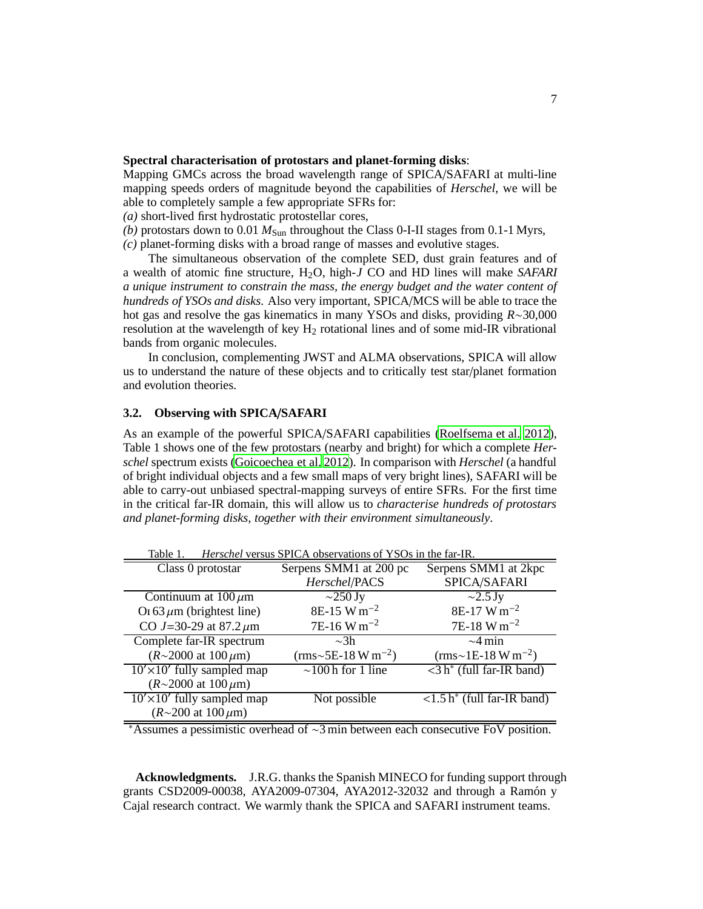# **Spectral characterisation of protostars and planet-forming disks**:

Mapping GMCs across the broad wavelength range of SPICA/SAFARI at multi-line mapping speeds orders of magnitude beyond the capabilities of *Herschel*, we will be able to completely sample a few appropriate SFRs for:

*(a)* short-lived first hydrostatic protostellar cores,

*(b)* protostars down to 0.01  $M_{Sun}$  throughout the Class 0-I-II stages from 0.1-1 Myrs,

*(c)* planet-forming disks with a broad range of masses and evolutive stages.

The simultaneous observation of the complete SED, dust grain features and of a wealth of atomic fine structure, H2O, high-*J* CO and HD lines will make *SAFARI a unique instrument to constrain the mass, the energy budget and the water content of hundreds of YSOs and disks*. Also very important, SPICA/MCS will be able to trace the hot gas and resolve the gas kinematics in many YSOs and disks, providing *R*∼30,000 resolution at the wavelength of key  $H_2$  rotational lines and of some mid-IR vibrational bands from organic molecules.

In conclusion, complementing JWST and ALMA observations, SPICA will allow us to understand the nature of these objects and to critically test star/planet formation and evolution theories.

# **3.2. Observing with SPICA**/**SAFARI**

As an example of the powerful SPICA/SAFARI capabilities [\(Roelfsema et al. 2012\)](#page-7-22), Table 1 shows one of the few protostars (nearby and bright) for which a complete *Herschel* spectrum exists [\(Goicoechea et al. 2012](#page-7-9)). In comparison with *Herschel* (a handful of bright individual objects and a few small maps of very bright lines), SAFARI will be able to carry-out unbiased spectral-mapping surveys of entire SFRs. For the first time in the critical far-IR domain, this will allow us to *characterise hundreds of protostars and planet-forming disks, together with their environment simultaneously*.

| Table 1.<br><i>Herschel</i> versus SPICA observations of YSOs in the far-IR. |                                |                                               |
|------------------------------------------------------------------------------|--------------------------------|-----------------------------------------------|
| Class 0 protostar                                                            | Serpens SMM1 at 200 pc         | Serpens SMM1 at 2kpc                          |
|                                                                              | Herschel/PACS                  | SPICA/SAFARI                                  |
| Continuum at $100 \mu m$                                                     | $\sim$ 250 Jy                  | $\sim$ 2.5 Jy                                 |
| Or 63 $\mu$ m (brightest line)                                               | 8E-15 W m <sup>-2</sup>        | 8E-17 W m <sup>-2</sup>                       |
| CO J=30-29 at 87.2 $\mu$ m                                                   | $7E-16$ W m <sup>-2</sup>      | $7E-18$ W m <sup>-2</sup>                     |
| Complete far-IR spectrum                                                     | $\sim$ 3h                      | $\sim$ 4 min                                  |
| $(R \sim 2000$ at $100 \,\mu m$ )                                            | (rms~5E-18 W m <sup>-2</sup> ) | $(rms~1E-18 W m^{-2})$                        |
| $10' \times 10'$ fully sampled map                                           | $\sim$ 100 h for 1 line        | $\langle 3 \, h^* \rangle$ (full far-IR band) |
| $(R \sim 2000$ at $100 \,\mu m$ )                                            |                                |                                               |
| $10' \times 10'$ fully sampled map                                           | Not possible                   | $\langle 1.5 h^*$ (full far-IR band)          |
| $(R \sim 200$ at $100 \,\mu m)$                                              |                                |                                               |

Table 1. *Herschel* versus SPICA observations of YSOs in the far-IR.

<sup>∗</sup>Assumes a pessimistic overhead of ∼3 min between each consecutive FoV position.

**Acknowledgments.** J.R.G. thanks the Spanish MINECO for funding support through grants CSD2009-00038, AYA2009-07304, AYA2012-32032 and through a Ramón y Cajal research contract. We warmly thank the SPICA and SAFARI instrument teams.